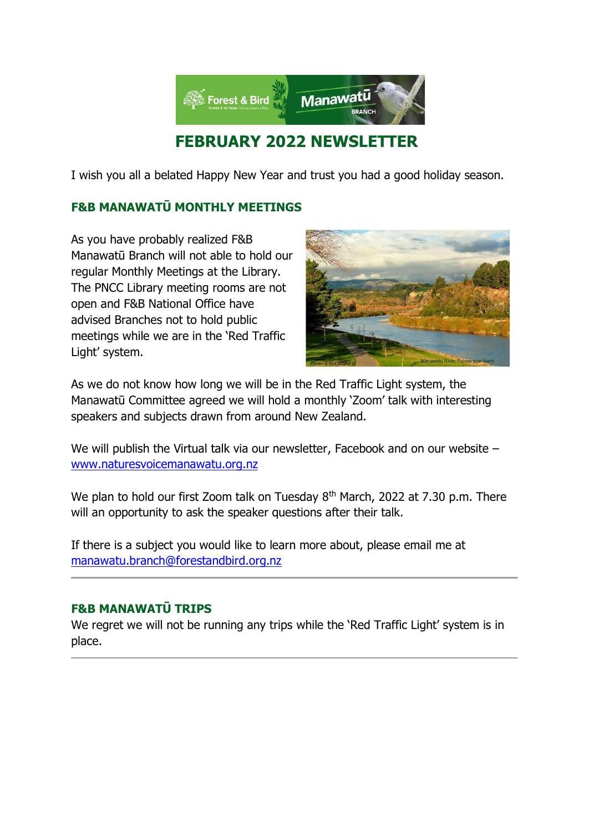

## **FEBRUARY 2022 NEWSLETTER**

I wish you all a belated Happy New Year and trust you had a good holiday season.

## **F&B MANAWATŪ MONTHLY MEETINGS**

As you have probably realized F&B Manawatū Branch will not able to hold our regular Monthly Meetings at the Library. The PNCC Library meeting rooms are not open and F&B National Office have advised Branches not to hold public meetings while we are in the 'Red Traffic Light' system.



As we do not know how long we will be in the Red Traffic Light system, the Manawatū Committee agreed we will hold a monthly 'Zoom' talk with interesting speakers and subjects drawn from around New Zealand.

We will publish the Virtual talk via our newsletter, Facebook and on our website – [www.naturesvoicemanawatu.org.nz](http://www.naturesvoicemanawatu.org.nz/)

We plan to hold our first Zoom talk on Tuesday  $8<sup>th</sup>$  March, 2022 at 7.30 p.m. There will an opportunity to ask the speaker questions after their talk.

If there is a subject you would like to learn more about, please email me at [manawatu.branch@forestandbird.org.nz](mailto:manawatu.branch@forestandbird.org.nz) 

## **F&B MANAWATŪ TRIPS**

We regret we will not be running any trips while the 'Red Traffic Light' system is in place.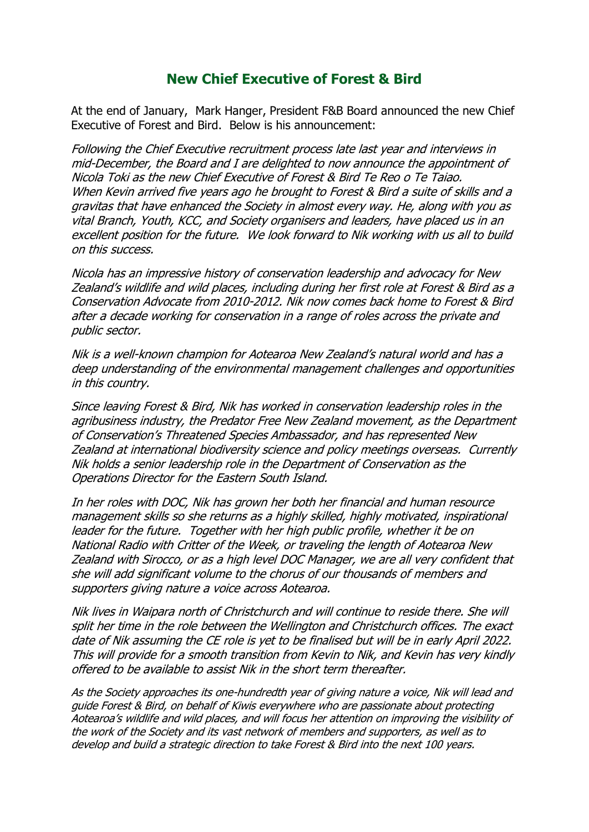## **New Chief Executive of Forest & Bird**

At the end of January, Mark Hanger, President F&B Board announced the new Chief Executive of Forest and Bird. Below is his announcement:

Following the Chief Executive recruitment process late last year and interviews in mid-December, the Board and I are delighted to now announce the appointment of Nicola Toki as the new Chief Executive of Forest & Bird Te Reo o Te Taiao. When Kevin arrived five years ago he brought to Forest & Bird a suite of skills and a gravitas that have enhanced the Society in almost every way. He, along with you as vital Branch, Youth, KCC, and Society organisers and leaders, have placed us in an excellent position for the future. We look forward to Nik working with us all to build on this success.

Nicola has an impressive history of conservation leadership and advocacy for New Zealand's wildlife and wild places, including during her first role at Forest & Bird as a Conservation Advocate from 2010-2012. Nik now comes back home to Forest & Bird after a decade working for conservation in a range of roles across the private and public sector.

Nik is a well-known champion for Aotearoa New Zealand's natural world and has a deep understanding of the environmental management challenges and opportunities in this country.

Since leaving Forest & Bird, Nik has worked in conservation leadership roles in the agribusiness industry, the Predator Free New Zealand movement, as the Department of Conservation's Threatened Species Ambassador, and has represented New Zealand at international biodiversity science and policy meetings overseas. Currently Nik holds a senior leadership role in the Department of Conservation as the Operations Director for the Eastern South Island.

In her roles with DOC, Nik has grown her both her financial and human resource management skills so she returns as a highly skilled, highly motivated, inspirational leader for the future. Together with her high public profile, whether it be on National Radio with Critter of the Week, or traveling the length of Aotearoa New Zealand with Sirocco, or as a high level DOC Manager, we are all very confident that she will add significant volume to the chorus of our thousands of members and supporters giving nature a voice across Aotearoa.

Nik lives in Waipara north of Christchurch and will continue to reside there. She will split her time in the role between the Wellington and Christchurch offices. The exact date of Nik assuming the CE role is yet to be finalised but will be in early April 2022. This will provide for a smooth transition from Kevin to Nik, and Kevin has very kindly offered to be available to assist Nik in the short term thereafter.

As the Society approaches its one-hundredth year of giving nature a voice, Nik will lead and guide Forest & Bird, on behalf of Kiwis everywhere who are passionate about protecting Aotearoa's wildlife and wild places, and will focus her attention on improving the visibility of the work of the Society and its vast network of members and supporters, as well as to develop and build a strategic direction to take Forest & Bird into the next 100 years.